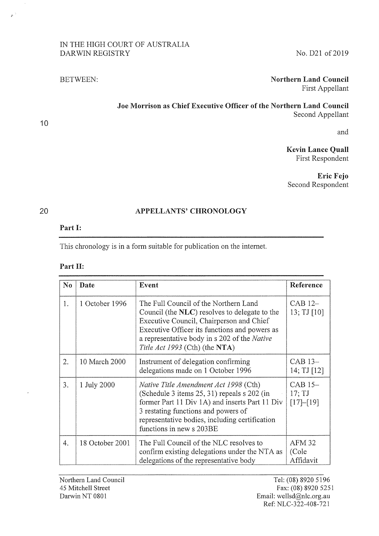## IN THE HIGH COURT OF AUSTRALIA DARWIN REGISTRY

No. 021 of 2019

### BETWEEN

# Northern Land Council First Appellant

Joe Morrison as Chief Executive Officer of the Northern Land Council Second Appellant

and

Kevin Lance Quail First Respondent

Eric Fejo Second Respondent

#### 20

10

f

#### APPELLANTS' CHRONOLOGY

#### Part I:

This chronology is in a form suitable for publication on the internet.

| <b>Part II:</b> |  |
|-----------------|--|
|                 |  |

| $\bf No$ | Date            | Event                                                                                                                                                                                                                                                                 | Reference                               |
|----------|-----------------|-----------------------------------------------------------------------------------------------------------------------------------------------------------------------------------------------------------------------------------------------------------------------|-----------------------------------------|
| 1.       | 1 October 1996  | The Full Council of the Northern Land<br>Council (the NLC) resolves to delegate to the<br>Executive Council, Chairperson and Chief<br>Executive Officer its functions and powers as<br>a representative body in s 202 of the Native<br>Title Act 1993 (Cth) (the NTA) | CAB 12-<br>13; TJ [10]                  |
| 2.       | 10 March 2000   | Instrument of delegation confirming<br>delegations made on 1 October 1996                                                                                                                                                                                             | CAB 13-<br>14; TJ [12]                  |
| 3.       | 1 July 2000     | <i>Native Title Amendment Act 1998</i> (Cth)<br>(Schedule 3 items 25, 31) repeals s 202 (in<br>former Part 11 Div 1A) and inserts Part 11 Div<br>3 restating functions and powers of<br>representative bodies, including certification<br>functions in new s 203BE    | CAB 15-<br>$17;$ TJ<br>[17]–[19]        |
| 4.       | 18 October 2001 | The Full Council of the NLC resolves to<br>confirm existing delegations under the NTA as<br>delegations of the representative body                                                                                                                                    | AFM <sub>32</sub><br>(Cole<br>Affidavit |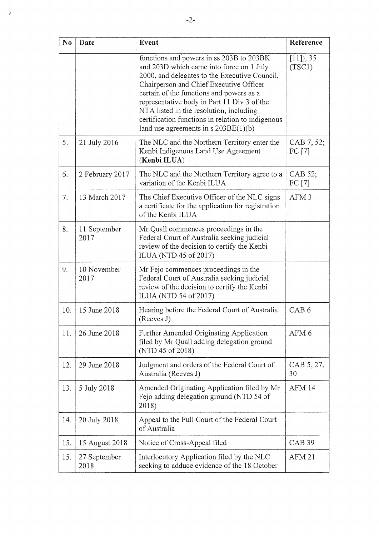| N <sub>0</sub> | Date                 | Event                                                                                                                                                                                                                                                                                                                                                                                                                 | Reference             |
|----------------|----------------------|-----------------------------------------------------------------------------------------------------------------------------------------------------------------------------------------------------------------------------------------------------------------------------------------------------------------------------------------------------------------------------------------------------------------------|-----------------------|
|                |                      | functions and powers in ss 203B to 203BK<br>and 203D which came into force on 1 July<br>2000, and delegates to the Executive Council,<br>Chairperson and Chief Executive Officer<br>certain of the functions and powers as a<br>representative body in Part 11 Div 3 of the<br>NTA listed in the resolution, including<br>certification functions in relation to indigenous<br>land use agreements in $s$ 203BE(1)(b) | $[11]$ , 35<br>(TSC1) |
| 5.             | 21 July 2016         | The NLC and the Northern Territory enter the<br>Kenbi Indigenous Land Use Agreement<br>(Kenbi ILUA)                                                                                                                                                                                                                                                                                                                   | CAB 7, 52;<br>FC [7]  |
| 6.             | 2 February 2017      | The NLC and the Northern Territory agree to a<br>variation of the Kenbi ILUA                                                                                                                                                                                                                                                                                                                                          | CAB 52;<br>FC [7]     |
| 7.             | 13 March 2017        | The Chief Executive Officer of the NLC signs<br>a certificate for the application for registration<br>of the Kenbi ILUA                                                                                                                                                                                                                                                                                               | AFM <sub>3</sub>      |
| 8.             | 11 September<br>2017 | Mr Quall commences proceedings in the<br>Federal Court of Australia seeking judicial<br>review of the decision to certify the Kenbi<br>ILUA (NTD 45 of 2017)                                                                                                                                                                                                                                                          |                       |
| 9.             | 10 November<br>2017  | Mr Fejo commences proceedings in the<br>Federal Court of Australia seeking judicial<br>review of the decision to certify the Kenbi<br>ILUA (NTD 54 of 2017)                                                                                                                                                                                                                                                           |                       |
| 10.            | 15 June 2018         | Hearing before the Federal Court of Australia<br>(Reeves J)                                                                                                                                                                                                                                                                                                                                                           | CAB <sub>6</sub>      |
| 11.            | 26 June 2018         | Further Amended Originating Application<br>filed by Mr Quall adding delegation ground<br>(NTD 45 of 2018)                                                                                                                                                                                                                                                                                                             | AFM <sub>6</sub>      |
| 12.            | 29 June 2018         | Judgment and orders of the Federal Court of<br>Australia (Reeves J)                                                                                                                                                                                                                                                                                                                                                   | CAB 5, 27,<br>30      |
| 13.            | 5 July 2018          | Amended Originating Application filed by Mr<br>Fejo adding delegation ground (NTD 54 of<br>2018)                                                                                                                                                                                                                                                                                                                      | AFM 14                |
| 14.            | 20 July 2018         | Appeal to the Full Court of the Federal Court<br>of Australia                                                                                                                                                                                                                                                                                                                                                         |                       |
| 15.            | 15 August 2018       | Notice of Cross-Appeal filed                                                                                                                                                                                                                                                                                                                                                                                          | CAB <sub>39</sub>     |
| 15.            | 27 September<br>2018 | Interlocutory Application filed by the NLC<br>seeking to adduce evidence of the 18 October                                                                                                                                                                                                                                                                                                                            | <b>AFM 21</b>         |